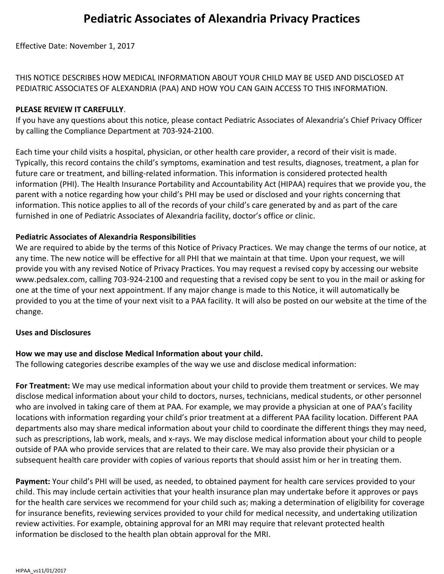Effective Date: November 1, 2017

THIS NOTICE DESCRIBES HOW MEDICAL INFORMATION ABOUT YOUR CHILD MAY BE USED AND DISCLOSED AT PEDIATRIC ASSOCIATES OF ALEXANDRIA (PAA) AND HOW YOU CAN GAIN ACCESS TO THIS INFORMATION.

### **PLEASE REVIEW IT CAREFULLY**.

If you have any questions about this notice, please contact Pediatric Associates of Alexandria's Chief Privacy Officer by calling the Compliance Department at 703-924-2100.

Each time your child visits a hospital, physician, or other health care provider, a record of their visit is made. Typically, this record contains the child's symptoms, examination and test results, diagnoses, treatment, a plan for future care or treatment, and billing-related information. This information is considered protected health information (PHI). The Health Insurance Portability and Accountability Act (HIPAA) requires that we provide you, the parent with a notice regarding how your child's PHI may be used or disclosed and your rights concerning that information. This notice applies to all of the records of your child's care generated by and as part of the care furnished in one of Pediatric Associates of Alexandria facility, doctor's office or clinic.

### **Pediatric Associates of Alexandria Responsibilities**

We are required to abide by the terms of this Notice of Privacy Practices. We may change the terms of our notice, at any time. The new notice will be effective for all PHI that we maintain at that time. Upon your request, we will provide you with any revised Notice of Privacy Practices. You may request a revised copy by accessing our website www.pedsalex.com, calling 703-924-2100 and requesting that a revised copy be sent to you in the mail or asking for one at the time of your next appointment. If any major change is made to this Notice, it will automatically be provided to you at the time of your next visit to a PAA facility. It will also be posted on our website at the time of the change.

#### **Uses and Disclosures**

### **How we may use and disclose Medical Information about your child.**

The following categories describe examples of the way we use and disclose medical information:

**For Treatment:** We may use medical information about your child to provide them treatment or services. We may disclose medical information about your child to doctors, nurses, technicians, medical students, or other personnel who are involved in taking care of them at PAA. For example, we may provide a physician at one of PAA's facility locations with information regarding your child's prior treatment at a different PAA facility location. Different PAA departments also may share medical information about your child to coordinate the different things they may need, such as prescriptions, lab work, meals, and x-rays. We may disclose medical information about your child to people outside of PAA who provide services that are related to their care. We may also provide their physician or a subsequent health care provider with copies of various reports that should assist him or her in treating them.

**Payment:** Your child's PHI will be used, as needed, to obtained payment for health care services provided to your child. This may include certain activities that your health insurance plan may undertake before it approves or pays for the health care services we recommend for your child such as; making a determination of eligibility for coverage for insurance benefits, reviewing services provided to your child for medical necessity, and undertaking utilization review activities. For example, obtaining approval for an MRI may require that relevant protected health information be disclosed to the health plan obtain approval for the MRI.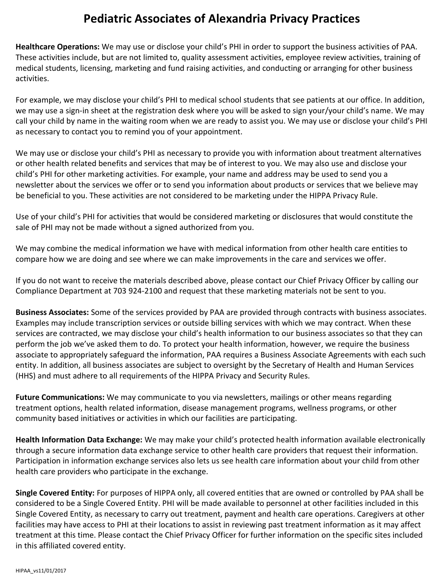**Healthcare Operations:** We may use or disclose your child's PHI in order to support the business activities of PAA. These activities include, but are not limited to, quality assessment activities, employee review activities, training of medical students, licensing, marketing and fund raising activities, and conducting or arranging for other business activities.

For example, we may disclose your child's PHI to medical school students that see patients at our office. In addition, we may use a sign-in sheet at the registration desk where you will be asked to sign your/your child's name. We may call your child by name in the waiting room when we are ready to assist you. We may use or disclose your child's PHI as necessary to contact you to remind you of your appointment.

We may use or disclose your child's PHI as necessary to provide you with information about treatment alternatives or other health related benefits and services that may be of interest to you. We may also use and disclose your child's PHI for other marketing activities. For example, your name and address may be used to send you a newsletter about the services we offer or to send you information about products or services that we believe may be beneficial to you. These activities are not considered to be marketing under the HIPPA Privacy Rule.

Use of your child's PHI for activities that would be considered marketing or disclosures that would constitute the sale of PHI may not be made without a signed authorized from you.

We may combine the medical information we have with medical information from other health care entities to compare how we are doing and see where we can make improvements in the care and services we offer.

If you do not want to receive the materials described above, please contact our Chief Privacy Officer by calling our Compliance Department at 703 924-2100 and request that these marketing materials not be sent to you.

**Business Associates:** Some of the services provided by PAA are provided through contracts with business associates. Examples may include transcription services or outside billing services with which we may contract. When these services are contracted, we may disclose your child's health information to our business associates so that they can perform the job we've asked them to do. To protect your health information, however, we require the business associate to appropriately safeguard the information, PAA requires a Business Associate Agreements with each such entity. In addition, all business associates are subject to oversight by the Secretary of Health and Human Services (HHS) and must adhere to all requirements of the HIPPA Privacy and Security Rules.

**Future Communications:** We may communicate to you via newsletters, mailings or other means regarding treatment options, health related information, disease management programs, wellness programs, or other community based initiatives or activities in which our facilities are participating.

**Health Information Data Exchange:** We may make your child's protected health information available electronically through a secure information data exchange service to other health care providers that request their information. Participation in information exchange services also lets us see health care information about your child from other health care providers who participate in the exchange.

**Single Covered Entity:** For purposes of HIPPA only, all covered entities that are owned or controlled by PAA shall be considered to be a Single Covered Entity. PHI will be made available to personnel at other facilities included in this Single Covered Entity, as necessary to carry out treatment, payment and health care operations. Caregivers at other facilities may have access to PHI at their locations to assist in reviewing past treatment information as it may affect treatment at this time. Please contact the Chief Privacy Officer for further information on the specific sites included in this affiliated covered entity.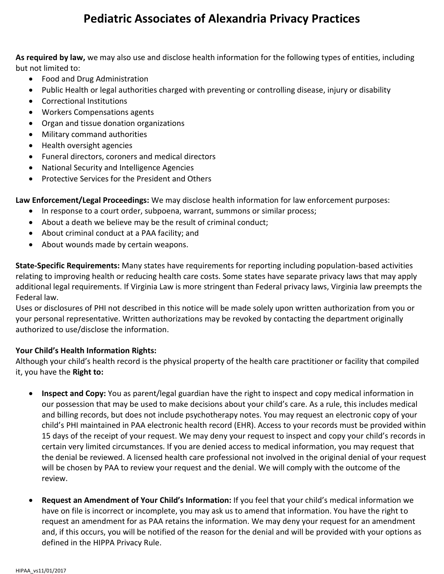**As required by law,** we may also use and disclose health information for the following types of entities, including but not limited to:

- Food and Drug Administration
- Public Health or legal authorities charged with preventing or controlling disease, injury or disability
- Correctional Institutions
- Workers Compensations agents
- Organ and tissue donation organizations
- Military command authorities
- Health oversight agencies
- Funeral directors, coroners and medical directors
- National Security and Intelligence Agencies
- Protective Services for the President and Others

**Law Enforcement/Legal Proceedings:** We may disclose health information for law enforcement purposes:

- In response to a court order, subpoena, warrant, summons or similar process;
- About a death we believe may be the result of criminal conduct;
- About criminal conduct at a PAA facility; and
- About wounds made by certain weapons.

**State-Specific Requirements:** Many states have requirements for reporting including population-based activities relating to improving health or reducing health care costs. Some states have separate privacy laws that may apply additional legal requirements. If Virginia Law is more stringent than Federal privacy laws, Virginia law preempts the Federal law.

Uses or disclosures of PHI not described in this notice will be made solely upon written authorization from you or your personal representative. Written authorizations may be revoked by contacting the department originally authorized to use/disclose the information.

### **Your Child's Health Information Rights:**

Although your child's health record is the physical property of the health care practitioner or facility that compiled it, you have the **Right to:**

- **Inspect and Copy:** You as parent/legal guardian have the right to inspect and copy medical information in our possession that may be used to make decisions about your child's care. As a rule, this includes medical and billing records, but does not include psychotherapy notes. You may request an electronic copy of your child's PHI maintained in PAA electronic health record (EHR). Access to your records must be provided within 15 days of the receipt of your request. We may deny your request to inspect and copy your child's records in certain very limited circumstances. If you are denied access to medical information, you may request that the denial be reviewed. A licensed health care professional not involved in the original denial of your request will be chosen by PAA to review your request and the denial. We will comply with the outcome of the review.
- **Request an Amendment of Your Child's Information:** If you feel that your child's medical information we have on file is incorrect or incomplete, you may ask us to amend that information. You have the right to request an amendment for as PAA retains the information. We may deny your request for an amendment and, if this occurs, you will be notified of the reason for the denial and will be provided with your options as defined in the HIPPA Privacy Rule.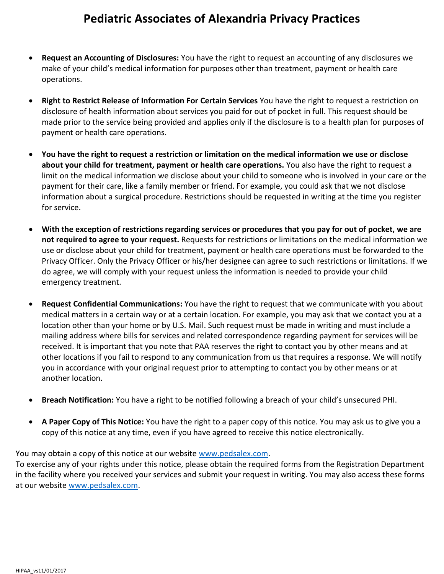- **Request an Accounting of Disclosures:** You have the right to request an accounting of any disclosures we make of your child's medical information for purposes other than treatment, payment or health care operations.
- **Right to Restrict Release of Information For Certain Services** You have the right to request a restriction on disclosure of health information about services you paid for out of pocket in full. This request should be made prior to the service being provided and applies only if the disclosure is to a health plan for purposes of payment or health care operations.
- **You have the right to request a restriction or limitation on the medical information we use or disclose about your child for treatment, payment or health care operations.** You also have the right to request a limit on the medical information we disclose about your child to someone who is involved in your care or the payment for their care, like a family member or friend. For example, you could ask that we not disclose information about a surgical procedure. Restrictions should be requested in writing at the time you register for service.
- **With the exception of restrictions regarding services or procedures that you pay for out of pocket, we are not required to agree to your request.** Requests for restrictions or limitations on the medical information we use or disclose about your child for treatment, payment or health care operations must be forwarded to the Privacy Officer. Only the Privacy Officer or his/her designee can agree to such restrictions or limitations. If we do agree, we will comply with your request unless the information is needed to provide your child emergency treatment.
- **Request Confidential Communications:** You have the right to request that we communicate with you about medical matters in a certain way or at a certain location. For example, you may ask that we contact you at a location other than your home or by U.S. Mail. Such request must be made in writing and must include a mailing address where bills for services and related correspondence regarding payment for services will be received. It is important that you note that PAA reserves the right to contact you by other means and at other locations if you fail to respond to any communication from us that requires a response. We will notify you in accordance with your original request prior to attempting to contact you by other means or at another location.
- **Breach Notification:** You have a right to be notified following a breach of your child's unsecured PHI.
- **A Paper Copy of This Notice:** You have the right to a paper copy of this notice. You may ask us to give you a copy of this notice at any time, even if you have agreed to receive this notice electronically.

### You may obtain a copy of this notice at our website [www.pedsalex.com.](http://www.pedsalex.com/)

To exercise any of your rights under this notice, please obtain the required forms from the Registration Department in the facility where you received your services and submit your request in writing. You may also access these forms at our website [www.pedsalex.com.](http://www.pedsalex.com/)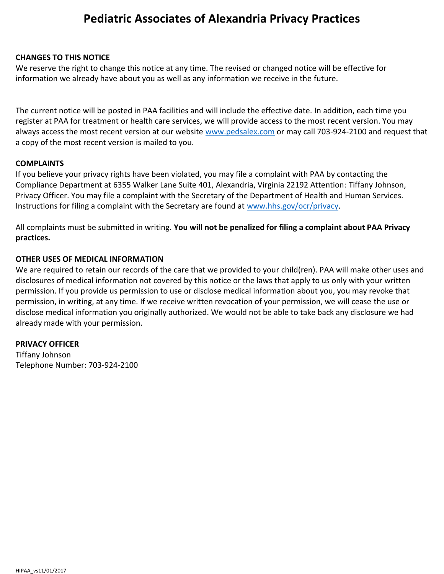### **CHANGES TO THIS NOTICE**

We reserve the right to change this notice at any time. The revised or changed notice will be effective for information we already have about you as well as any information we receive in the future.

The current notice will be posted in PAA facilities and will include the effective date. In addition, each time you register at PAA for treatment or health care services, we will provide access to the most recent version. You may always access the most recent version at our website [www.pedsalex.com](http://www.pedsalex.com/) or may call 703-924-2100 and request that a copy of the most recent version is mailed to you.

### **COMPLAINTS**

If you believe your privacy rights have been violated, you may file a complaint with PAA by contacting the Compliance Department at 6355 Walker Lane Suite 401, Alexandria, Virginia 22192 Attention: Tiffany Johnson, Privacy Officer. You may file a complaint with the Secretary of the Department of Health and Human Services. Instructions for filing a complaint with the Secretary are found at [www.hhs.gov/ocr/privacy.](http://www.hhs.gov/ocr/privacy)

All complaints must be submitted in writing. **You will not be penalized for filing a complaint about PAA Privacy practices.**

### **OTHER USES OF MEDICAL INFORMATION**

We are required to retain our records of the care that we provided to your child(ren). PAA will make other uses and disclosures of medical information not covered by this notice or the laws that apply to us only with your written permission. If you provide us permission to use or disclose medical information about you, you may revoke that permission, in writing, at any time. If we receive written revocation of your permission, we will cease the use or disclose medical information you originally authorized. We would not be able to take back any disclosure we had already made with your permission.

#### **PRIVACY OFFICER**

Tiffany Johnson Telephone Number: 703-924-2100